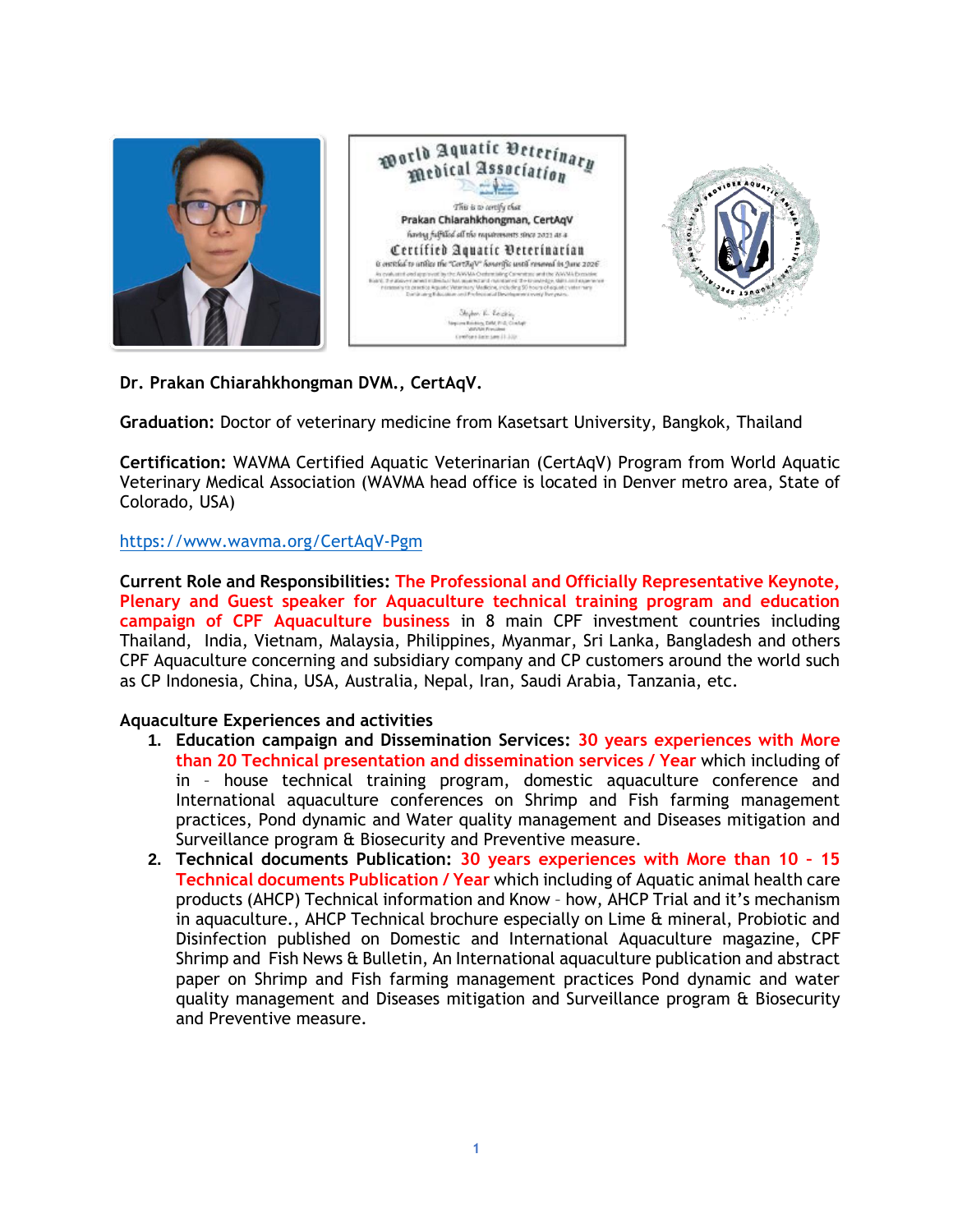

**Dr. Prakan Chiarahkhongman DVM., CertAqV.**

**Graduation:** Doctor of veterinary medicine from Kasetsart University, Bangkok, Thailand

**Certification:** WAVMA Certified Aquatic Veterinarian (CertAqV) Program from World Aquatic Veterinary Medical Association (WAVMA head office is located in Denver metro area, State of Colorado, USA)

## <https://www.wavma.org/CertAqV-Pgm>

**Current Role and Responsibilities: The Professional and Officially Representative Keynote, Plenary and Guest speaker for Aquaculture technical training program and education campaign of CPF Aquaculture business** in 8 main CPF investment countries including Thailand, India, Vietnam, Malaysia, Philippines, Myanmar, Sri Lanka, Bangladesh and others CPF Aquaculture concerning and subsidiary company and CP customers around the world such as CP Indonesia, China, USA, Australia, Nepal, Iran, Saudi Arabia, Tanzania, etc.

## **Aquaculture Experiences and activities**

- **1. Education campaign and Dissemination Services: 30 years experiences with More than 20 Technical presentation and dissemination services / Year** which including of in – house technical training program, domestic aquaculture conference and International aquaculture conferences on Shrimp and Fish farming management practices, Pond dynamic and Water quality management and Diseases mitigation and Surveillance program & Biosecurity and Preventive measure.
- **2. Technical documents Publication: 30 years experiences with More than 10 – 15 Technical documents Publication / Year** which including of Aquatic animal health care products (AHCP) Technical information and Know – how, AHCP Trial and it's mechanism in aquaculture., AHCP Technical brochure especially on Lime & mineral, Probiotic and Disinfection published on Domestic and International Aquaculture magazine, CPF Shrimp and Fish News & Bulletin, An International aquaculture publication and abstract paper on Shrimp and Fish farming management practices Pond dynamic and water quality management and Diseases mitigation and Surveillance program & Biosecurity and Preventive measure.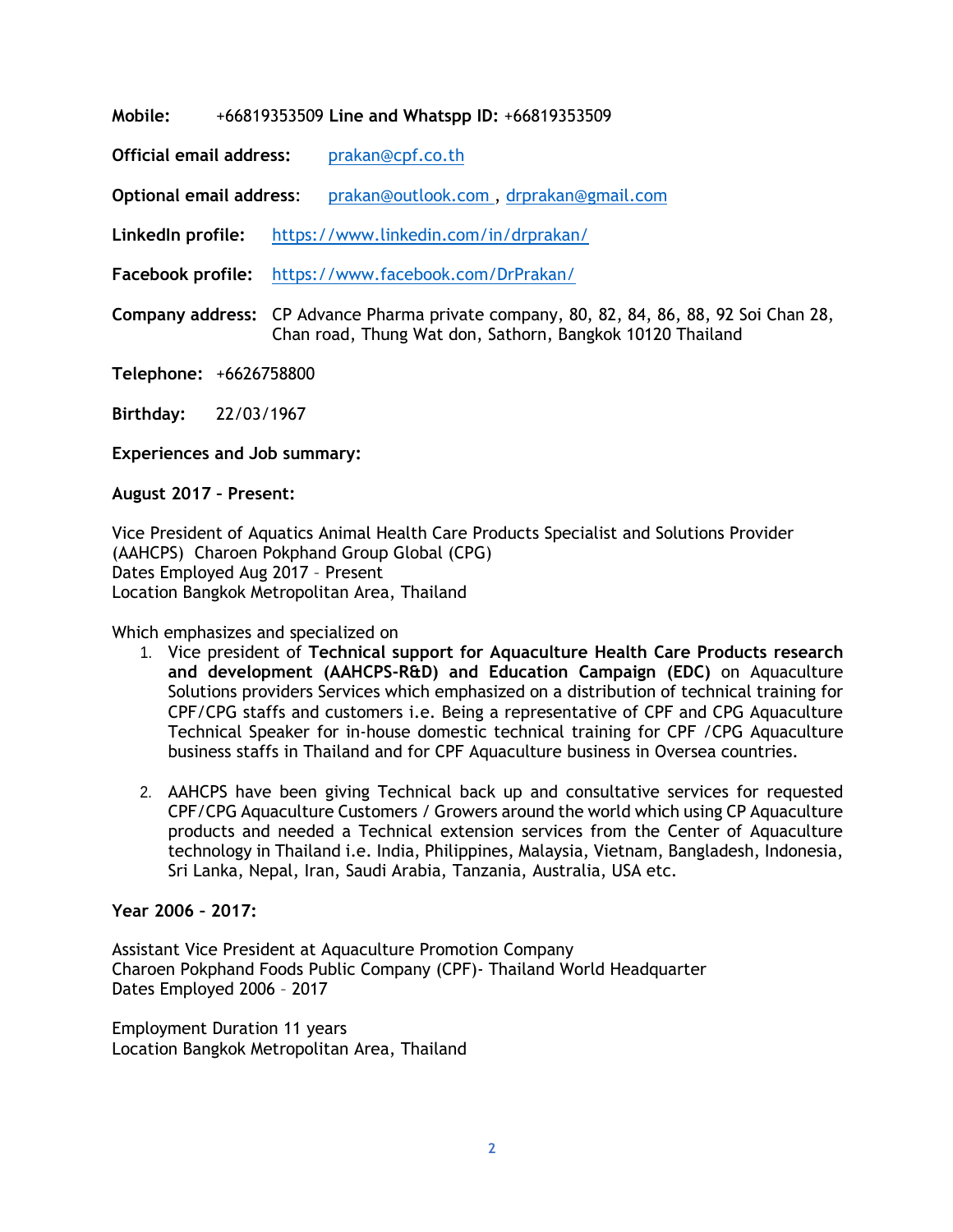**Mobile:** +66819353509 **Line and Whatspp ID:** +66819353509

**Official email address:** [prakan@cpf.co.th](mailto:prakan@cpf.co.th)

**Optional email address**: [prakan@outlook.com](mailto:prakan@outlook.com) , [drprakan@gmail.com](mailto:drprakan@gmail.com)

**LinkedIn profile:** <https://www.linkedin.com/in/drprakan/>

**Facebook profile:** <https://www.facebook.com/DrPrakan/>

**Company address:** CP Advance Pharma private company, 80, 82, 84, 86, 88, 92 Soi Chan 28, Chan road, Thung Wat don, Sathorn, Bangkok 10120 Thailand

**Telephone:** +6626758800

**Birthday:** 22/03/1967

**Experiences and Job summary:**

**August 2017 – Present:**

Vice President of Aquatics Animal Health Care Products [Specialist](https://www.linkedin.com/company/1285246/?lipi=urn%3Ali%3Apage%3Ad_flagship3_profile_view_base%3BG6VnhodXTa2XJN%2FOh9t0Cg%3D%3D&licu=urn%3Ali%3Acontrol%3Ad_flagship3_profile_view_base-background_details_company) and Solutions Provider [\(AAHCPS\)](https://www.linkedin.com/company/1285246/?lipi=urn%3Ali%3Apage%3Ad_flagship3_profile_view_base%3BG6VnhodXTa2XJN%2FOh9t0Cg%3D%3D&licu=urn%3Ali%3Acontrol%3Ad_flagship3_profile_view_base-background_details_company) Charoen [Pokphand](https://www.linkedin.com/company/1285246/?lipi=urn%3Ali%3Apage%3Ad_flagship3_profile_view_base%3BG6VnhodXTa2XJN%2FOh9t0Cg%3D%3D&licu=urn%3Ali%3Acontrol%3Ad_flagship3_profile_view_base-background_details_company) Group Global (CPG) Dates [Employed](https://www.linkedin.com/company/1285246/?lipi=urn%3Ali%3Apage%3Ad_flagship3_profile_view_base%3BG6VnhodXTa2XJN%2FOh9t0Cg%3D%3D&licu=urn%3Ali%3Acontrol%3Ad_flagship3_profile_view_base-background_details_company) Aug 2017 – Present Location Bangkok [Metropolitan](https://www.linkedin.com/company/1285246/?lipi=urn%3Ali%3Apage%3Ad_flagship3_profile_view_base%3BG6VnhodXTa2XJN%2FOh9t0Cg%3D%3D&licu=urn%3Ali%3Acontrol%3Ad_flagship3_profile_view_base-background_details_company) Area, Thailand

## Which emphasizes and specialized on

- 1. Vice president of **Technical support for Aquaculture Health Care Products research and development (AAHCPS-R&D) and Education Campaign (EDC)** on Aquaculture Solutions providers Services which emphasized on a distribution of technical training for CPF/CPG staffs and customers i.e. Being a representative of CPF and CPG Aquaculture Technical Speaker for in-house domestic technical training for CPF /CPG Aquaculture business staffs in Thailand and for CPF Aquaculture business in Oversea countries.
- 2. AAHCPS have been giving Technical back up and consultative services for requested CPF/CPG Aquaculture Customers / Growers around the world which using CP Aquaculture products and needed a Technical extension services from the Center of Aquaculture technology in Thailand i.e. India, Philippines, Malaysia, Vietnam, Bangladesh, Indonesia, Sri Lanka, Nepal, Iran, Saudi Arabia, Tanzania, Australia, USA etc.

# **Year 2006 – 2017:**

Assistant Vice President at [Aquaculture](https://www.linkedin.com/company/80547/?lipi=urn%3Ali%3Apage%3Ad_flagship3_profile_view_base%3BG6VnhodXTa2XJN%2FOh9t0Cg%3D%3D&licu=urn%3Ali%3Acontrol%3Ad_flagship3_profile_view_base-background_details_company) Promotion Company Charoen Pokphand Foods Public Company (CPF)- Thailand World [Headquarter](https://www.linkedin.com/company/80547/?lipi=urn%3Ali%3Apage%3Ad_flagship3_profile_view_base%3BG6VnhodXTa2XJN%2FOh9t0Cg%3D%3D&licu=urn%3Ali%3Acontrol%3Ad_flagship3_profile_view_base-background_details_company) Dates [Employed](https://www.linkedin.com/company/80547/?lipi=urn%3Ali%3Apage%3Ad_flagship3_profile_view_base%3BG6VnhodXTa2XJN%2FOh9t0Cg%3D%3D&licu=urn%3Ali%3Acontrol%3Ad_flagship3_profile_view_base-background_details_company) 2006 – 2017

[Employment](https://www.linkedin.com/company/80547/?lipi=urn%3Ali%3Apage%3Ad_flagship3_profile_view_base%3BG6VnhodXTa2XJN%2FOh9t0Cg%3D%3D&licu=urn%3Ali%3Acontrol%3Ad_flagship3_profile_view_base-background_details_company) Duration 11 years Location Bangkok [Metropolitan](https://www.linkedin.com/company/80547/?lipi=urn%3Ali%3Apage%3Ad_flagship3_profile_view_base%3BG6VnhodXTa2XJN%2FOh9t0Cg%3D%3D&licu=urn%3Ali%3Acontrol%3Ad_flagship3_profile_view_base-background_details_company) Area, Thailand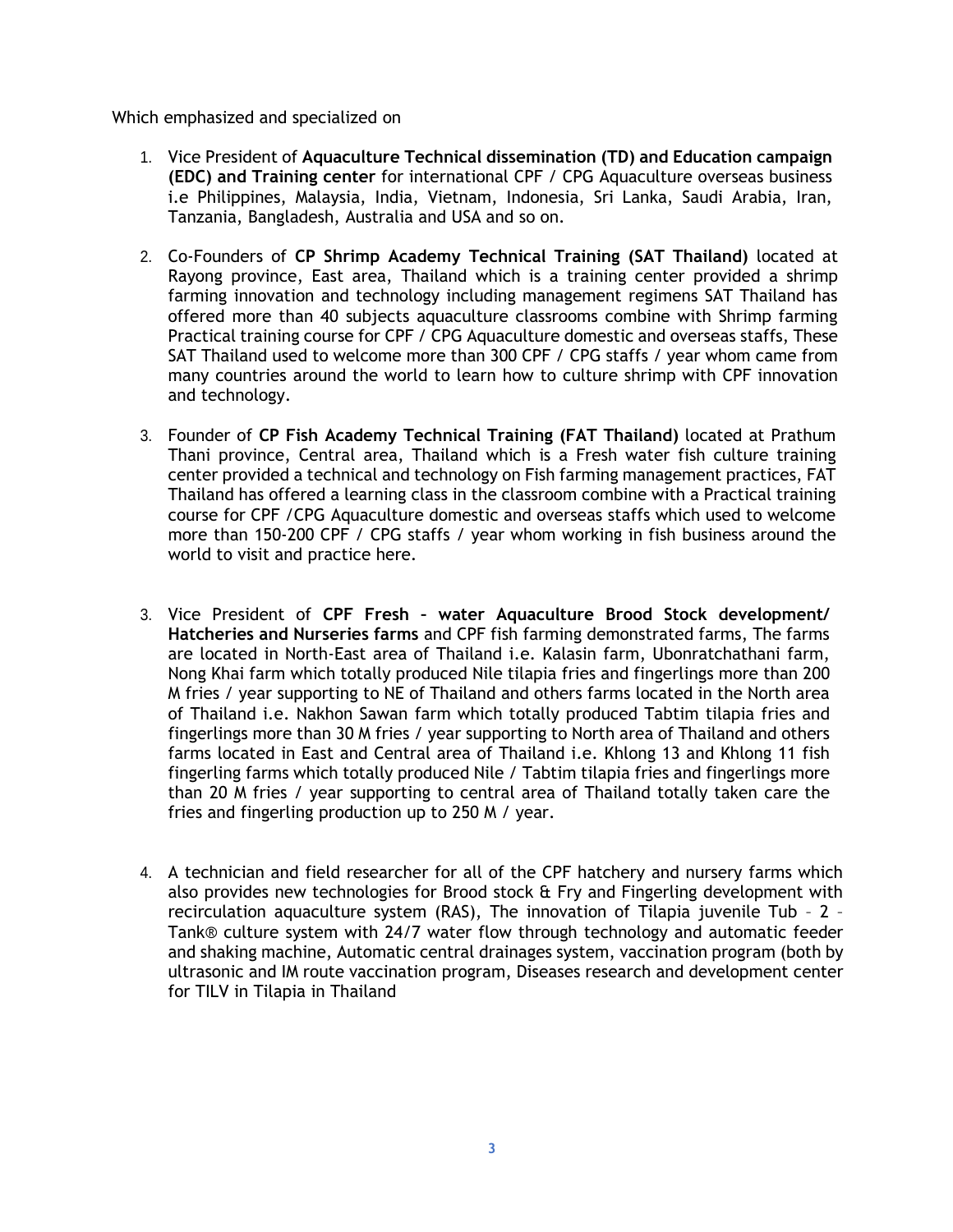Which emphasized and specialized on

- 1. Vice President of **Aquaculture Technical dissemination (TD) and Education campaign (EDC) and Training center** for international CPF / CPG Aquaculture overseas business i.e Philippines, Malaysia, India, Vietnam, Indonesia, Sri Lanka, Saudi Arabia, Iran, Tanzania, Bangladesh, Australia and USA and so on.
- 2. Co-Founders of **CP Shrimp Academy Technical Training (SAT Thailand)** located at Rayong province, East area, Thailand which is a training center provided a shrimp farming innovation and technology including management regimens SAT Thailand has offered more than 40 subjects aquaculture classrooms combine with Shrimp farming Practical training course for CPF / CPG Aquaculture domestic and overseas staffs, These SAT Thailand used to welcome more than 300 CPF / CPG staffs / year whom came from many countries around the world to learn how to culture shrimp with CPF innovation and technology.
- 3. Founder of **CP Fish Academy Technical Training (FAT Thailand)** located at Prathum Thani province, Central area, Thailand which is a Fresh water fish culture training center provided a technical and technology on Fish farming management practices, FAT Thailand has offered a learning class in the classroom combine with a Practical training course for CPF /CPG Aquaculture domestic and overseas staffs which used to welcome more than 150-200 CPF / CPG staffs / year whom working in fish business around the world to visit and practice here.
- 3. Vice President of **CPF Fresh – water Aquaculture Brood Stock development/ Hatcheries and Nurseries farms** and CPF fish farming demonstrated farms, The farms are located in North-East area of Thailand i.e. Kalasin farm, Ubonratchathani farm, Nong Khai farm which totally produced Nile tilapia fries and fingerlings more than 200 M fries / year supporting to NE of Thailand and others farms located in the North area of Thailand i.e. Nakhon Sawan farm which totally produced Tabtim tilapia fries and fingerlings more than 30 M fries / year supporting to North area of Thailand and others farms located in East and Central area of Thailand i.e. Khlong 13 and Khlong 11 fish fingerling farms which totally produced Nile / Tabtim tilapia fries and fingerlings more than 20 M fries / year supporting to central area of Thailand totally taken care the fries and fingerling production up to 250 M / year.
- 4. A technician and field researcher for all of the CPF hatchery and nursery farms which also provides new technologies for Brood stock & Fry and Fingerling development with recirculation aquaculture system (RAS), The innovation of Tilapia juvenile Tub – 2 – Tank® culture system with 24/7 water flow through technology and automatic feeder and shaking machine, Automatic central drainages system, vaccination program (both by ultrasonic and IM route vaccination program, Diseases research and development center for TILV in Tilapia in Thailand